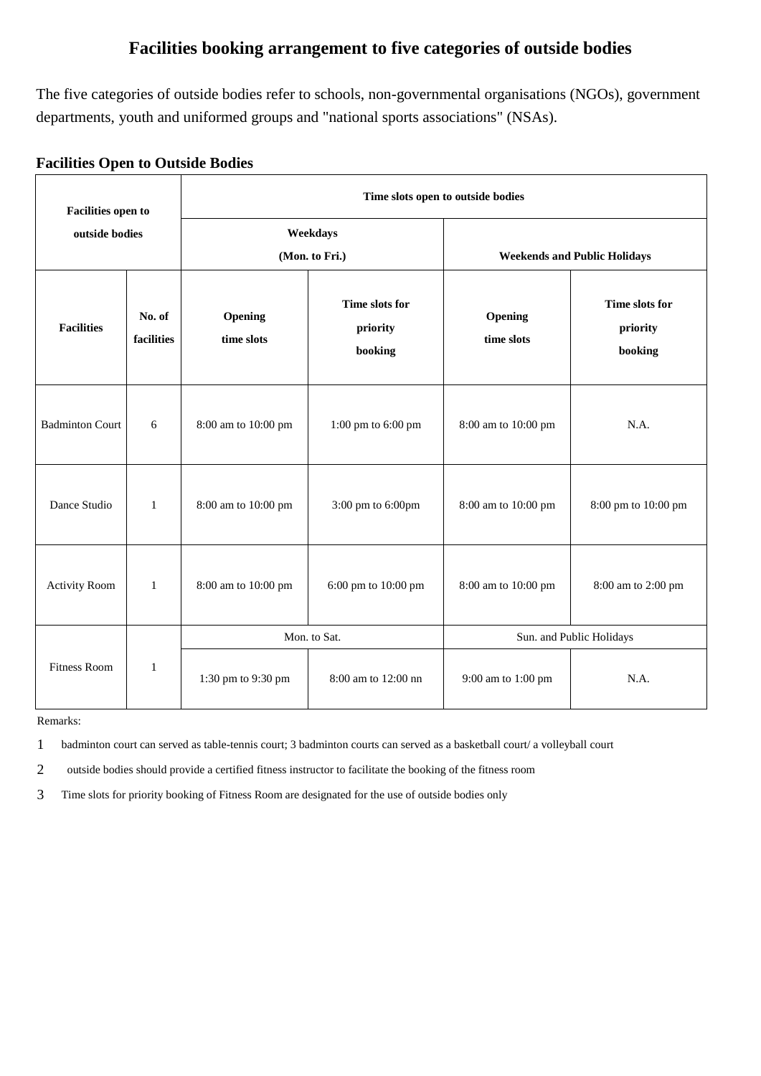# **Facilities booking arrangement to five categories of outside bodies**

The five categories of outside bodies refer to schools, non-governmental organisations (NGOs), government departments, youth and uniformed groups and "national sports associations" (NSAs).

# **Facilities Open to Outside Bodies**

| <b>Facilities open to</b><br>outside bodies |                      | Time slots open to outside bodies |                                                                |                                     |                                       |  |  |
|---------------------------------------------|----------------------|-----------------------------------|----------------------------------------------------------------|-------------------------------------|---------------------------------------|--|--|
|                                             |                      |                                   | Weekdays<br>(Mon. to Fri.)                                     | <b>Weekends and Public Holidays</b> |                                       |  |  |
| <b>Facilities</b>                           | No. of<br>facilities | Opening<br>time slots             | Time slots for<br>Opening<br>priority<br>time slots<br>booking |                                     | Time slots for<br>priority<br>booking |  |  |
| <b>Badminton Court</b>                      | 6                    | 8:00 am to 10:00 pm               | $1:00~\mathrm{pm}$ to $6:00~\mathrm{pm}$                       | 8:00 am to 10:00 pm                 | N.A.                                  |  |  |
| Dance Studio                                | $\mathbf{1}$         | 8:00 am to 10:00 pm               | 3:00 pm to 6:00pm                                              | 8:00 am to 10:00 pm                 | 8:00 pm to 10:00 pm                   |  |  |
| <b>Activity Room</b>                        | $\mathbf{1}$         | 8:00 am to 10:00 pm               | 6:00 pm to 10:00 pm                                            | 8:00 am to 10:00 pm                 | 8:00 am to 2:00 pm                    |  |  |
|                                             | 1                    | Mon. to Sat.                      |                                                                | Sun. and Public Holidays            |                                       |  |  |
| <b>Fitness Room</b>                         |                      | 1:30 pm to 9:30 pm                | 8:00 am to 12:00 nn                                            | 9:00 am to 1:00 pm                  | N.A.                                  |  |  |

Remarks:

1 badminton court can served as table-tennis court; 3 badminton courts can served as a basketball court/ a volleyball court

2 outside bodies should provide a certified fitness instructor to facilitate the booking of the fitness room

3 Time slots for priority booking of Fitness Room are designated for the use of outside bodies only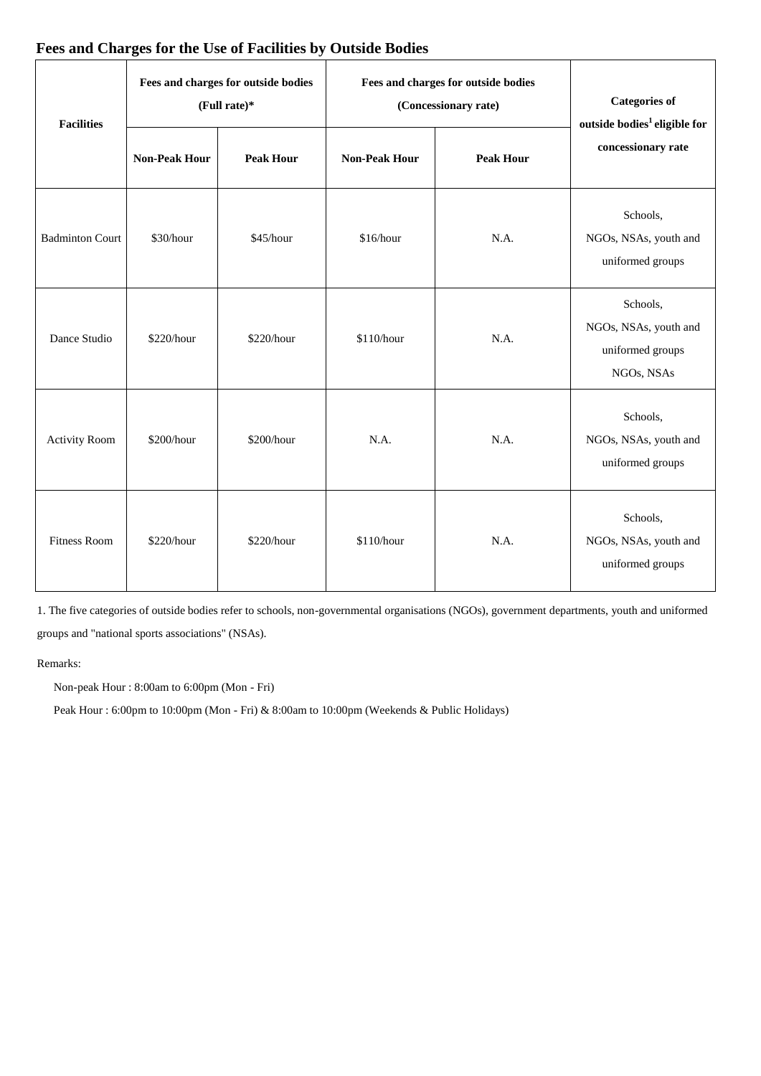| <b>Facilities</b>      |                      | Fees and charges for outside bodies<br>(Full rate)* | Fees and charges for outside bodies<br>(Concessionary rate) | <b>Categories of</b><br>outside bodies <sup>1</sup> eligible for |                                                                     |  |
|------------------------|----------------------|-----------------------------------------------------|-------------------------------------------------------------|------------------------------------------------------------------|---------------------------------------------------------------------|--|
|                        | <b>Non-Peak Hour</b> | <b>Peak Hour</b>                                    | <b>Non-Peak Hour</b>                                        | <b>Peak Hour</b>                                                 | concessionary rate                                                  |  |
| <b>Badminton Court</b> | \$30/hour            | \$45/hour                                           | \$16/hour                                                   | N.A.                                                             | Schools,<br>NGOs, NSAs, youth and<br>uniformed groups               |  |
| Dance Studio           | \$220/hour           | \$220/hour                                          | \$110/hour                                                  | N.A.                                                             | Schools,<br>NGOs, NSAs, youth and<br>uniformed groups<br>NGOs, NSAs |  |
| <b>Activity Room</b>   | \$200/hour           | \$200/hour                                          | N.A.                                                        | N.A.                                                             | Schools,<br>NGOs, NSAs, youth and<br>uniformed groups               |  |
| <b>Fitness Room</b>    | \$220/hour           | \$220/hour                                          | \$110/hour                                                  | N.A.                                                             | Schools,<br>NGOs, NSAs, youth and<br>uniformed groups               |  |

# **Fees and Charges for the Use of Facilities by Outside Bodies**

1. The five categories of outside bodies refer to schools, non-governmental organisations (NGOs), government departments, youth and uniformed groups and "national sports associations" (NSAs).

Remarks:

Non-peak Hour : 8:00am to 6:00pm (Mon - Fri)

Peak Hour : 6:00pm to 10:00pm (Mon - Fri) & 8:00am to 10:00pm (Weekends & Public Holidays)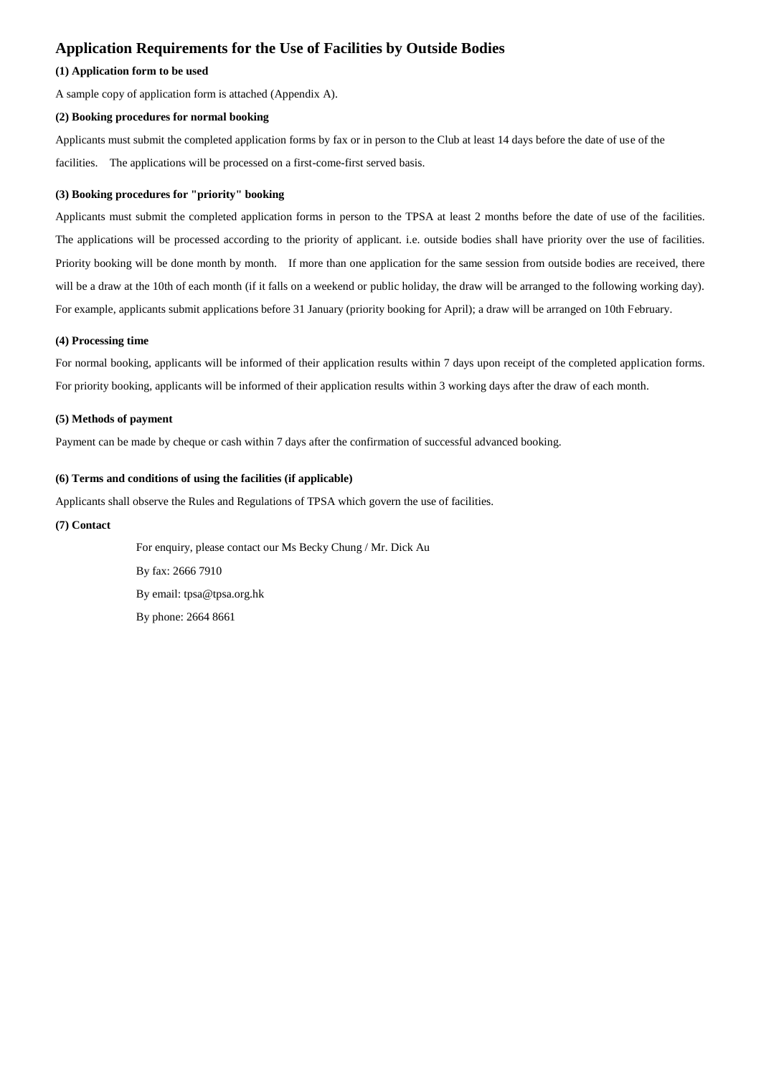# **Application Requirements for the Use of Facilities by Outside Bodies**

#### **(1) Application form to be used**

A sample copy of application form is attached (Appendix A).

#### **(2) Booking procedures for normal booking**

Applicants must submit the completed application forms by fax or in person to the Club at least 14 days before the date of use of the facilities. The applications will be processed on a first-come-first served basis.

#### **(3) Booking procedures for "priority" booking**

Applicants must submit the completed application forms in person to the TPSA at least 2 months before the date of use of the facilities. The applications will be processed according to the priority of applicant. i.e. outside bodies shall have priority over the use of facilities. Priority booking will be done month by month. If more than one application for the same session from outside bodies are received, there will be a draw at the 10th of each month (if it falls on a weekend or public holiday, the draw will be arranged to the following working day). For example, applicants submit applications before 31 January (priority booking for April); a draw will be arranged on 10th February.

#### **(4) Processing time**

For normal booking, applicants will be informed of their application results within 7 days upon receipt of the completed application forms. For priority booking, applicants will be informed of their application results within 3 working days after the draw of each month.

#### **(5) Methods of payment**

Payment can be made by cheque or cash within 7 days after the confirmation of successful advanced booking.

#### **(6) Terms and conditions of using the facilities (if applicable)**

Applicants shall observe the Rules and Regulations of TPSA which govern the use of facilities.

### **(7) Contact**

 For enquiry, please contact our Ms Becky Chung / Mr. Dick Au By fax: 2666 7910 By email: tpsa@tpsa.org.hk By phone: 2664 8661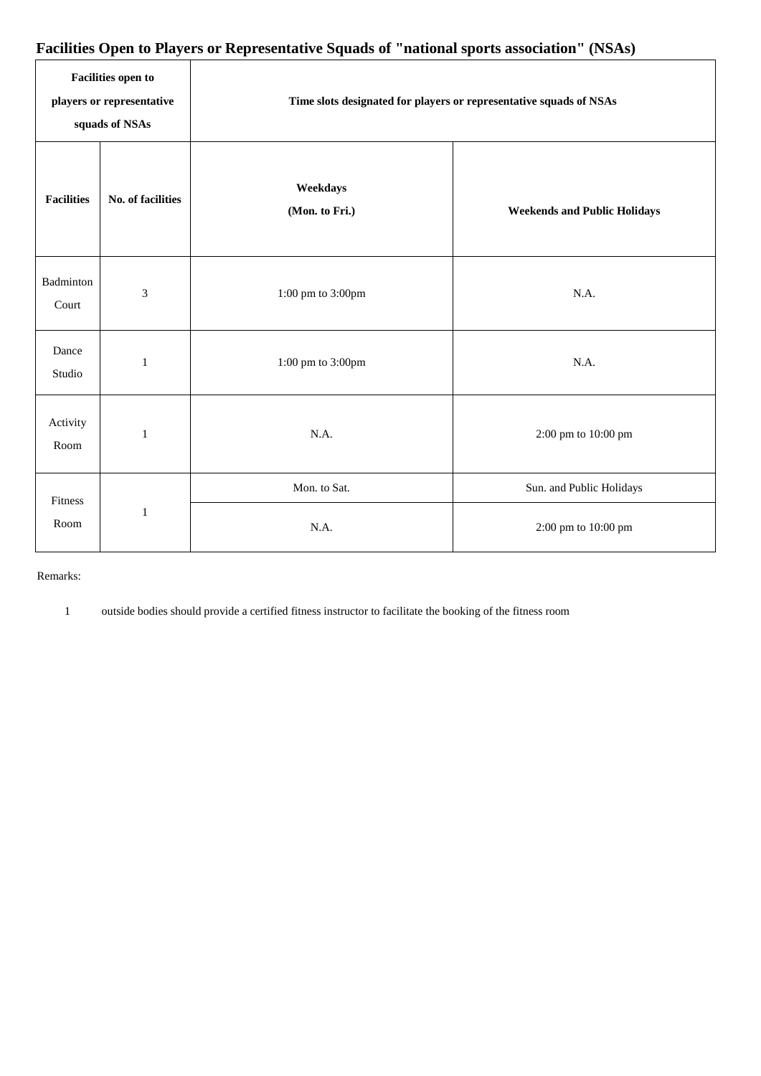# **Facilities Open to Players or Representative Squads of "national sports association" (NSAs)**

| <b>Facilities open to</b><br>players or representative<br>squads of NSAs |                   | Time slots designated for players or representative squads of NSAs |                                     |  |  |
|--------------------------------------------------------------------------|-------------------|--------------------------------------------------------------------|-------------------------------------|--|--|
| <b>Facilities</b>                                                        | No. of facilities | Weekdays<br>(Mon. to Fri.)                                         | <b>Weekends and Public Holidays</b> |  |  |
| Badminton<br>Court                                                       | $\mathfrak{Z}$    | $1:00~\mathrm{pm}$ to $3:00 \mathrm{pm}$                           | N.A.                                |  |  |
| Dance<br>Studio                                                          | $\mathbf{1}$      | 1:00 pm to 3:00pm                                                  | N.A.                                |  |  |
| Activity<br>Room                                                         | $\mathbf{1}$      | N.A.                                                               | 2:00 pm to 10:00 pm                 |  |  |
| Fitness<br>Room                                                          | $\mathbf{1}$      | Mon. to Sat.                                                       | Sun. and Public Holidays            |  |  |
|                                                                          |                   | N.A.                                                               | 2:00 pm to 10:00 pm                 |  |  |

### Remarks:

1 outside bodies should provide a certified fitness instructor to facilitate the booking of the fitness room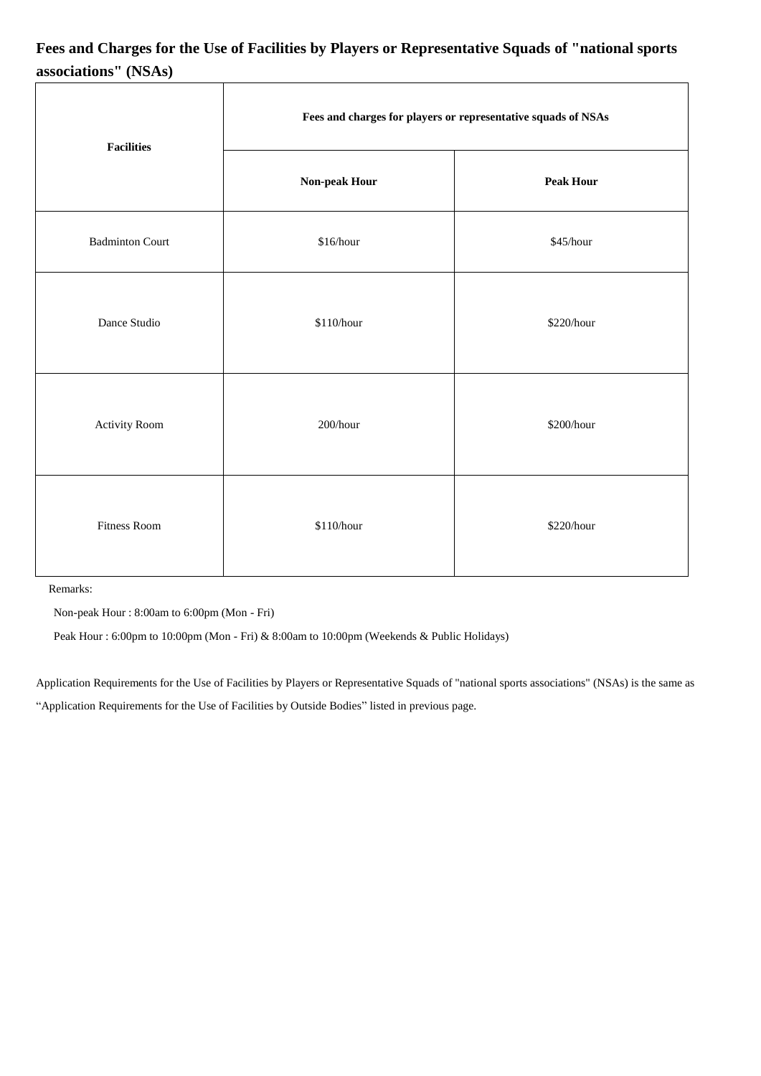# **Fees and Charges for the Use of Facilities by Players or Representative Squads of "national sports associations" (NSAs)**

| <b>Facilities</b>      | Fees and charges for players or representative squads of NSAs |                  |  |  |
|------------------------|---------------------------------------------------------------|------------------|--|--|
|                        | Non-peak Hour                                                 | <b>Peak Hour</b> |  |  |
| <b>Badminton Court</b> | $\$16/hour$                                                   | \$45/hour        |  |  |
| Dance Studio           | \$110/hour                                                    | \$220/hour       |  |  |
| Activity Room          | 200/hour                                                      | \$200/hour       |  |  |
| <b>Fitness Room</b>    | \$110/hour                                                    | \$220/hour       |  |  |

Remarks:

Non-peak Hour : 8:00am to 6:00pm (Mon - Fri)

Peak Hour : 6:00pm to 10:00pm (Mon - Fri) & 8:00am to 10:00pm (Weekends & Public Holidays)

Application Requirements for the Use of Facilities by Players or Representative Squads of "national sports associations" (NSAs) is the same as "Application Requirements for the Use of Facilities by Outside Bodies" listed in previous page.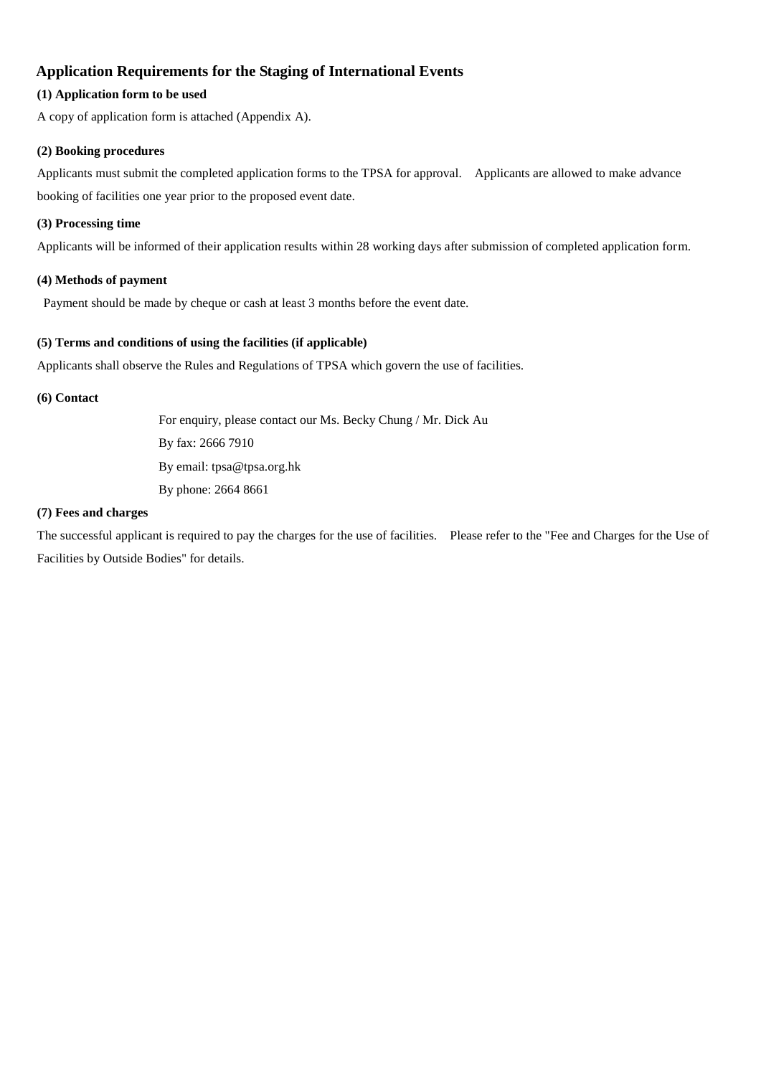# **Application Requirements for the Staging of International Events**

# **(1) Application form to be used**

A copy of application form is attached (Appendix A).

### **(2) Booking procedures**

Applicants must submit the completed application forms to the TPSA for approval. Applicants are allowed to make advance booking of facilities one year prior to the proposed event date.

### **(3) Processing time**

Applicants will be informed of their application results within 28 working days after submission of completed application form.

### **(4) Methods of payment**

Payment should be made by cheque or cash at least 3 months before the event date.

# **(5) Terms and conditions of using the facilities (if applicable)**

Applicants shall observe the Rules and Regulations of TPSA which govern the use of facilities.

### **(6) Contact**

 For enquiry, please contact our Ms. Becky Chung / Mr. Dick Au By fax: 2666 7910 By email: tpsa@tpsa.org.hk By phone: 2664 8661

### **(7) Fees and charges**

The successful applicant is required to pay the charges for the use of facilities. Please refer to the "Fee and Charges for the Use of Facilities by Outside Bodies" for details.